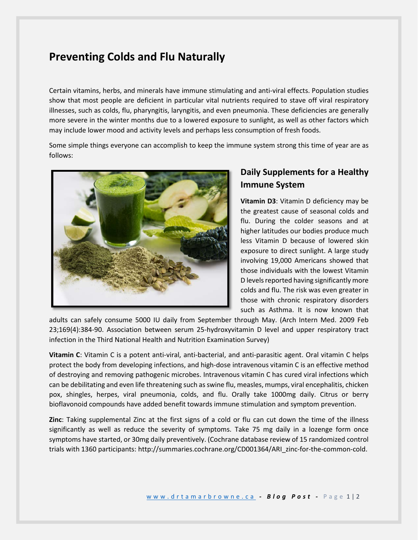## **Preventing Colds and Flu Naturally**

Certain vitamins, herbs, and minerals have immune stimulating and anti-viral effects. Population studies show that most people are deficient in particular vital nutrients required to stave off viral respiratory illnesses, such as colds, flu, pharyngitis, laryngitis, and even pneumonia. These deficiencies are generally more severe in the winter months due to a lowered exposure to sunlight, as well as other factors which may include lower mood and activity levels and perhaps less consumption of fresh foods.

Some simple things everyone can accomplish to keep the immune system strong this time of year are as follows:



## **Daily Supplements for a Healthy Immune System**

**Vitamin D3**: Vitamin D deficiency may be the greatest cause of seasonal colds and flu. During the colder seasons and at higher latitudes our bodies produce much less Vitamin D because of lowered skin exposure to direct sunlight. A large study involving 19,000 Americans showed that those individuals with the lowest Vitamin D levels reported having significantly more colds and flu. The risk was even greater in those with chronic respiratory disorders such as Asthma. It is now known that

adults can safely consume 5000 IU daily from September through May. (Arch Intern Med. 2009 Feb 23;169(4):384-90. Association between serum 25-hydroxyvitamin D level and upper respiratory tract infection in the Third National Health and Nutrition Examination Survey)

**Vitamin C**: Vitamin C is a potent anti-viral, anti-bacterial, and anti-parasitic agent. Oral vitamin C helps protect the body from developing infections, and high-dose intravenous vitamin C is an effective method of destroying and removing pathogenic microbes. Intravenous vitamin C has cured viral infections which can be debilitating and even life threatening such as swine flu, measles, mumps, viral encephalitis, chicken pox, shingles, herpes, viral pneumonia, colds, and flu. Orally take 1000mg daily. Citrus or berry bioflavonoid compounds have added benefit towards immune stimulation and symptom prevention.

**Zinc**: Taking supplemental Zinc at the first signs of a cold or flu can cut down the time of the illness significantly as well as reduce the severity of symptoms. Take 75 mg daily in a lozenge form once symptoms have started, or 30mg daily preventively. (Cochrane database review of 15 randomized control trials with 1360 participants: http://summaries.cochrane.org/CD001364/ARI\_zinc-for-the-common-cold.